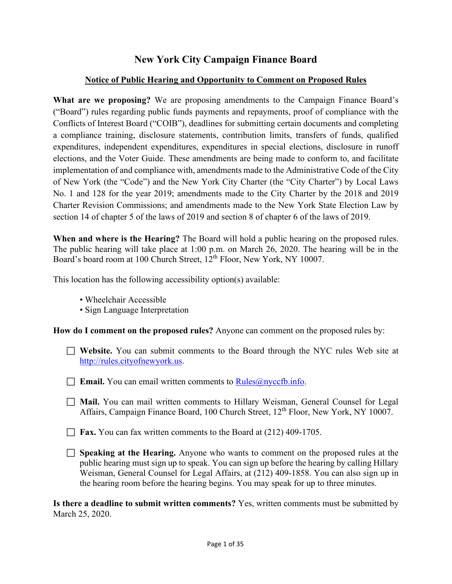# **New York City Campaign Finance Board**

## **Notice of Public Hearing and Opportunity to Comment on Proposed Rules**

**What are we proposing?** We are proposing amendments to the Campaign Finance Board's ("Board") rules regarding public funds payments and repayments, proof of compliance with the Conflicts of Interest Board ("COIB"), deadlines for submitting certain documents and completing a compliance training, disclosure statements, contribution limits, transfers of funds, qualified expenditures, independent expenditures, expenditures in special elections, disclosure in runoff elections, and the Voter Guide. These amendments are being made to conform to, and facilitate implementation of and compliance with, amendments made to the Administrative Code of the City of New York (the "Code") and the New York City Charter (the "City Charter") by Local Laws No. 1 and 128 for the year 2019; amendments made to the City Charter by the 2018 and 2019 Charter Revision Commissions; and amendments made to the New York State Election Law by section 14 of chapter 5 of the laws of 2019 and section 8 of chapter 6 of the laws of 2019.

**When and where is the Hearing?** The Board will hold a public hearing on the proposed rules. The public hearing will take place at 1:00 p.m. on March 26, 2020. The hearing will be in the Board's board room at 100 Church Street, 12th Floor, New York, NY 10007.

This location has the following accessibility option(s) available:

- Wheelchair Accessible
- Sign Language Interpretation

**How do I comment on the proposed rules?** Anyone can comment on the proposed rules by:

- **Website.** You can submit comments to the Board through the NYC rules Web site at [http://rules.cityofnewyork.us.](http://rules.cityofnewyork.us/)
- **Email.** You can email written comments to  $\text{Rules}(\hat{a})$  nyce formulation.
- **Mail.** You can mail written comments to Hillary Weisman, General Counsel for Legal Affairs, Campaign Finance Board, 100 Church Street, 12<sup>th</sup> Floor, New York, NY 10007.
- **Fax.** You can fax written comments to the Board at (212) 409-1705.
- **Speaking at the Hearing.** Anyone who wants to comment on the proposed rules at the public hearing must sign up to speak. You can sign up before the hearing by calling Hillary Weisman, General Counsel for Legal Affairs, at (212) 409-1858. You can also sign up in the hearing room before the hearing begins. You may speak for up to three minutes.

**Is there a deadline to submit written comments?** Yes, written comments must be submitted by March 25, 2020.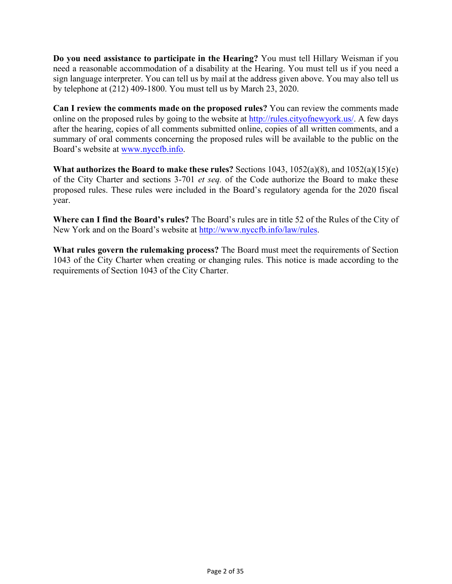**Do you need assistance to participate in the Hearing?** You must tell Hillary Weisman if you need a reasonable accommodation of a disability at the Hearing. You must tell us if you need a sign language interpreter. You can tell us by mail at the address given above. You may also tell us by telephone at (212) 409-1800. You must tell us by March 23, 2020.

**Can I review the comments made on the proposed rules?** You can review the comments made online on the proposed rules by going to the website a[t http://rules.cityofnewyork.us/.](http://rules.cityofnewyork.us/) A few days after the hearing, copies of all comments submitted online, copies of all written comments, and a summary of oral comments concerning the proposed rules will be available to the public on the Board's website a[t www.nyccfb.info.](http://www.nyccfb.info/)

**What authorizes the Board to make these rules?** Sections 1043, 1052(a)(8), and 1052(a)(15)(e) of the City Charter and sections 3-701 *et seq.* of the Code authorize the Board to make these proposed rules. These rules were included in the Board's regulatory agenda for the 2020 fiscal year.

**Where can I find the Board's rules?** The Board's rules are in title 52 of the Rules of the City of New York and on the Board's website at [http://www.nyccfb.info/law/rules](https://www.nyccfb.info/law/rules).

**What rules govern the rulemaking process?** The Board must meet the requirements of Section 1043 of the City Charter when creating or changing rules. This notice is made according to the requirements of Section 1043 of the City Charter.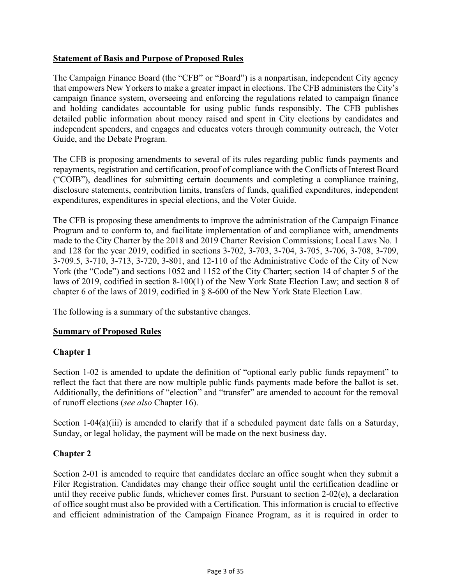## **Statement of Basis and Purpose of Proposed Rules**

The Campaign Finance Board (the "CFB" or "Board") is a nonpartisan, independent City agency that empowers New Yorkers to make a greater impact in elections. The CFB administers the City's campaign finance system, overseeing and enforcing the regulations related to campaign finance and holding candidates accountable for using public funds responsibly. The CFB publishes detailed public information about money raised and spent in City elections by candidates and independent spenders, and engages and educates voters through community outreach, the Voter Guide, and the Debate Program.

The CFB is proposing amendments to several of its rules regarding public funds payments and repayments, registration and certification, proof of compliance with the Conflicts of Interest Board ("COIB"), deadlines for submitting certain documents and completing a compliance training, disclosure statements, contribution limits, transfers of funds, qualified expenditures, independent expenditures, expenditures in special elections, and the Voter Guide.

The CFB is proposing these amendments to improve the administration of the Campaign Finance Program and to conform to, and facilitate implementation of and compliance with, amendments made to the City Charter by the 2018 and 2019 Charter Revision Commissions; Local Laws No. 1 and 128 for the year 2019, codified in sections 3-702, 3-703, 3-704, 3-705, 3-706, 3-708, 3-709, 3-709.5, 3-710, 3-713, 3-720, 3-801, and 12-110 of the Administrative Code of the City of New York (the "Code") and sections 1052 and 1152 of the City Charter; section 14 of chapter 5 of the laws of 2019, codified in section 8-100(1) of the New York State Election Law; and section 8 of chapter 6 of the laws of 2019, codified in § 8-600 of the New York State Election Law.

The following is a summary of the substantive changes.

#### **Summary of Proposed Rules**

## **Chapter 1**

Section 1-02 is amended to update the definition of "optional early public funds repayment" to reflect the fact that there are now multiple public funds payments made before the ballot is set. Additionally, the definitions of "election" and "transfer" are amended to account for the removal of runoff elections (*see also* Chapter 16).

Section 1-04(a)(iii) is amended to clarify that if a scheduled payment date falls on a Saturday, Sunday, or legal holiday, the payment will be made on the next business day.

#### **Chapter 2**

Section 2-01 is amended to require that candidates declare an office sought when they submit a Filer Registration. Candidates may change their office sought until the certification deadline or until they receive public funds, whichever comes first. Pursuant to section 2-02(e), a declaration of office sought must also be provided with a Certification. This information is crucial to effective and efficient administration of the Campaign Finance Program, as it is required in order to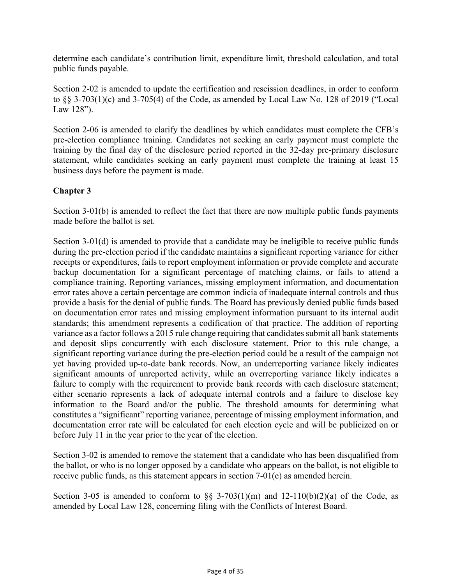determine each candidate's contribution limit, expenditure limit, threshold calculation, and total public funds payable.

Section 2-02 is amended to update the certification and rescission deadlines, in order to conform to §§ 3-703(1)(c) and 3-705(4) of the Code, as amended by Local Law No. 128 of 2019 ("Local Law 128").

Section 2-06 is amended to clarify the deadlines by which candidates must complete the CFB's pre-election compliance training. Candidates not seeking an early payment must complete the training by the final day of the disclosure period reported in the 32-day pre-primary disclosure statement, while candidates seeking an early payment must complete the training at least 15 business days before the payment is made.

## **Chapter 3**

Section 3-01(b) is amended to reflect the fact that there are now multiple public funds payments made before the ballot is set.

Section 3-01(d) is amended to provide that a candidate may be ineligible to receive public funds during the pre-election period if the candidate maintains a significant reporting variance for either receipts or expenditures, fails to report employment information or provide complete and accurate backup documentation for a significant percentage of matching claims, or fails to attend a compliance training. Reporting variances, missing employment information, and documentation error rates above a certain percentage are common indicia of inadequate internal controls and thus provide a basis for the denial of public funds. The Board has previously denied public funds based on documentation error rates and missing employment information pursuant to its internal audit standards; this amendment represents a codification of that practice. The addition of reporting variance as a factor follows a 2015 rule change requiring that candidates submit all bank statements and deposit slips concurrently with each disclosure statement. Prior to this rule change, a significant reporting variance during the pre-election period could be a result of the campaign not yet having provided up-to-date bank records. Now, an underreporting variance likely indicates significant amounts of unreported activity, while an overreporting variance likely indicates a failure to comply with the requirement to provide bank records with each disclosure statement; either scenario represents a lack of adequate internal controls and a failure to disclose key information to the Board and/or the public. The threshold amounts for determining what constitutes a "significant" reporting variance, percentage of missing employment information, and documentation error rate will be calculated for each election cycle and will be publicized on or before July 11 in the year prior to the year of the election.

Section 3-02 is amended to remove the statement that a candidate who has been disqualified from the ballot, or who is no longer opposed by a candidate who appears on the ballot, is not eligible to receive public funds, as this statement appears in section 7-01(e) as amended herein.

Section 3-05 is amended to conform to  $\S$  3-703(1)(m) and 12-110(b)(2)(a) of the Code, as amended by Local Law 128, concerning filing with the Conflicts of Interest Board.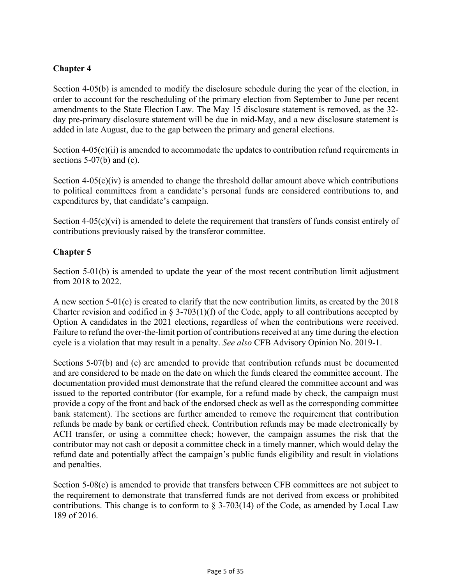## **Chapter 4**

Section 4-05(b) is amended to modify the disclosure schedule during the year of the election, in order to account for the rescheduling of the primary election from September to June per recent amendments to the State Election Law. The May 15 disclosure statement is removed, as the 32 day pre-primary disclosure statement will be due in mid-May, and a new disclosure statement is added in late August, due to the gap between the primary and general elections.

Section 4-05(c)(ii) is amended to accommodate the updates to contribution refund requirements in sections  $5-07(b)$  and (c).

Section  $4-05(c)(iv)$  is amended to change the threshold dollar amount above which contributions to political committees from a candidate's personal funds are considered contributions to, and expenditures by, that candidate's campaign.

Section  $4-05(c)(vi)$  is amended to delete the requirement that transfers of funds consist entirely of contributions previously raised by the transferor committee.

## **Chapter 5**

Section 5-01(b) is amended to update the year of the most recent contribution limit adjustment from 2018 to 2022.

A new section 5-01(c) is created to clarify that the new contribution limits, as created by the 2018 Charter revision and codified in § 3-703(1)(f) of the Code, apply to all contributions accepted by Option A candidates in the 2021 elections, regardless of when the contributions were received. Failure to refund the over-the-limit portion of contributions received at any time during the election cycle is a violation that may result in a penalty. *See also* CFB Advisory Opinion No. 2019-1.

Sections 5-07(b) and (c) are amended to provide that contribution refunds must be documented and are considered to be made on the date on which the funds cleared the committee account. The documentation provided must demonstrate that the refund cleared the committee account and was issued to the reported contributor (for example, for a refund made by check, the campaign must provide a copy of the front and back of the endorsed check as well as the corresponding committee bank statement). The sections are further amended to remove the requirement that contribution refunds be made by bank or certified check. Contribution refunds may be made electronically by ACH transfer, or using a committee check; however, the campaign assumes the risk that the contributor may not cash or deposit a committee check in a timely manner, which would delay the refund date and potentially affect the campaign's public funds eligibility and result in violations and penalties.

Section 5-08(c) is amended to provide that transfers between CFB committees are not subject to the requirement to demonstrate that transferred funds are not derived from excess or prohibited contributions. This change is to conform to  $\S 3-703(14)$  of the Code, as amended by Local Law 189 of 2016.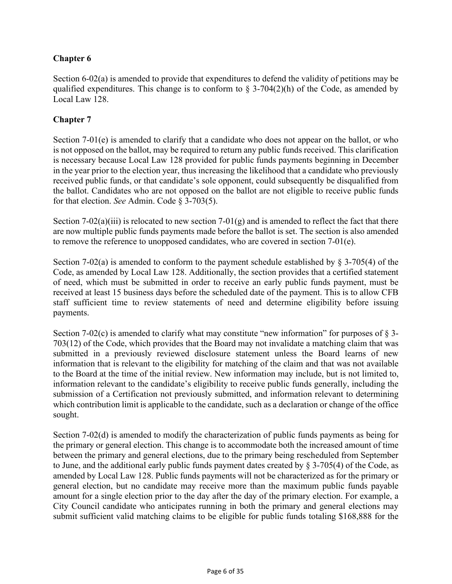## **Chapter 6**

Section 6-02(a) is amended to provide that expenditures to defend the validity of petitions may be qualified expenditures. This change is to conform to  $\S 3-704(2)(h)$  of the Code, as amended by Local Law 128.

## **Chapter 7**

Section 7-01(e) is amended to clarify that a candidate who does not appear on the ballot, or who is not opposed on the ballot, may be required to return any public funds received. This clarification is necessary because Local Law 128 provided for public funds payments beginning in December in the year prior to the election year, thus increasing the likelihood that a candidate who previously received public funds, or that candidate's sole opponent, could subsequently be disqualified from the ballot. Candidates who are not opposed on the ballot are not eligible to receive public funds for that election. *See* Admin. Code § 3-703(5).

Section 7-02(a)(iii) is relocated to new section 7-01(g) and is amended to reflect the fact that there are now multiple public funds payments made before the ballot is set. The section is also amended to remove the reference to unopposed candidates, who are covered in section 7-01(e).

Section 7-02(a) is amended to conform to the payment schedule established by  $\S$  3-705(4) of the Code, as amended by Local Law 128. Additionally, the section provides that a certified statement of need, which must be submitted in order to receive an early public funds payment, must be received at least 15 business days before the scheduled date of the payment. This is to allow CFB staff sufficient time to review statements of need and determine eligibility before issuing payments.

Section 7-02(c) is amended to clarify what may constitute "new information" for purposes of  $\S$  3-703(12) of the Code, which provides that the Board may not invalidate a matching claim that was submitted in a previously reviewed disclosure statement unless the Board learns of new information that is relevant to the eligibility for matching of the claim and that was not available to the Board at the time of the initial review. New information may include, but is not limited to, information relevant to the candidate's eligibility to receive public funds generally, including the submission of a Certification not previously submitted, and information relevant to determining which contribution limit is applicable to the candidate, such as a declaration or change of the office sought.

Section 7-02(d) is amended to modify the characterization of public funds payments as being for the primary or general election. This change is to accommodate both the increased amount of time between the primary and general elections, due to the primary being rescheduled from September to June, and the additional early public funds payment dates created by § 3-705(4) of the Code, as amended by Local Law 128. Public funds payments will not be characterized as for the primary or general election, but no candidate may receive more than the maximum public funds payable amount for a single election prior to the day after the day of the primary election. For example, a City Council candidate who anticipates running in both the primary and general elections may submit sufficient valid matching claims to be eligible for public funds totaling \$168,888 for the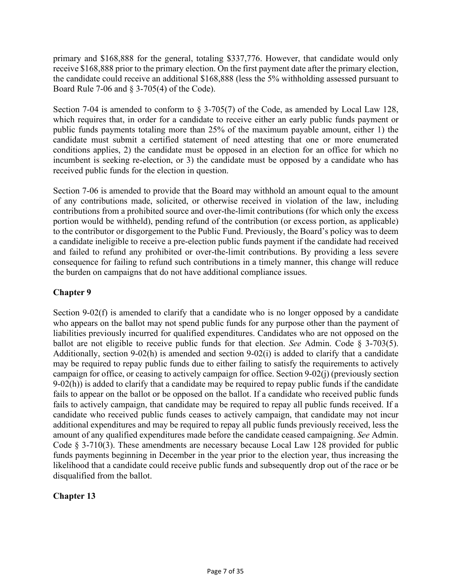primary and \$168,888 for the general, totaling \$337,776. However, that candidate would only receive \$168,888 prior to the primary election. On the first payment date after the primary election, the candidate could receive an additional \$168,888 (less the 5% withholding assessed pursuant to Board Rule 7-06 and § 3-705(4) of the Code).

Section 7-04 is amended to conform to § 3-705(7) of the Code, as amended by Local Law 128, which requires that, in order for a candidate to receive either an early public funds payment or public funds payments totaling more than 25% of the maximum payable amount, either 1) the candidate must submit a certified statement of need attesting that one or more enumerated conditions applies, 2) the candidate must be opposed in an election for an office for which no incumbent is seeking re-election, or 3) the candidate must be opposed by a candidate who has received public funds for the election in question.

Section 7-06 is amended to provide that the Board may withhold an amount equal to the amount of any contributions made, solicited, or otherwise received in violation of the law, including contributions from a prohibited source and over-the-limit contributions (for which only the excess portion would be withheld), pending refund of the contribution (or excess portion, as applicable) to the contributor or disgorgement to the Public Fund. Previously, the Board's policy was to deem a candidate ineligible to receive a pre-election public funds payment if the candidate had received and failed to refund any prohibited or over-the-limit contributions. By providing a less severe consequence for failing to refund such contributions in a timely manner, this change will reduce the burden on campaigns that do not have additional compliance issues.

## **Chapter 9**

Section 9-02(f) is amended to clarify that a candidate who is no longer opposed by a candidate who appears on the ballot may not spend public funds for any purpose other than the payment of liabilities previously incurred for qualified expenditures. Candidates who are not opposed on the ballot are not eligible to receive public funds for that election. *See* Admin. Code § 3-703(5). Additionally, section 9-02(h) is amended and section 9-02(i) is added to clarify that a candidate may be required to repay public funds due to either failing to satisfy the requirements to actively campaign for office, or ceasing to actively campaign for office. Section 9-02(j) (previously section  $9-02(h)$ ) is added to clarify that a candidate may be required to repay public funds if the candidate fails to appear on the ballot or be opposed on the ballot. If a candidate who received public funds fails to actively campaign, that candidate may be required to repay all public funds received. If a candidate who received public funds ceases to actively campaign, that candidate may not incur additional expenditures and may be required to repay all public funds previously received, less the amount of any qualified expenditures made before the candidate ceased campaigning. *See* Admin. Code  $\S$  3-710(3). These amendments are necessary because Local Law 128 provided for public funds payments beginning in December in the year prior to the election year, thus increasing the likelihood that a candidate could receive public funds and subsequently drop out of the race or be disqualified from the ballot.

# **Chapter 13**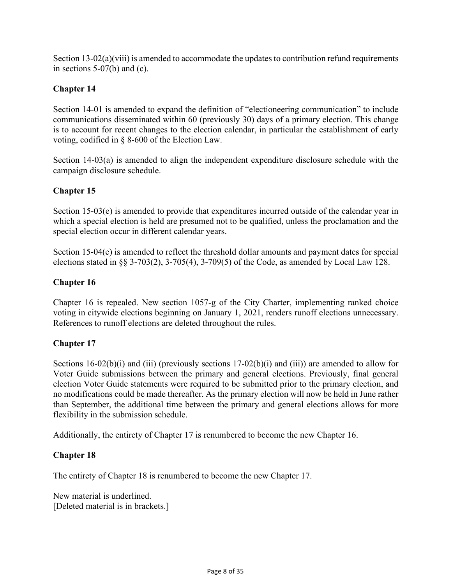Section 13-02(a)(viii) is amended to accommodate the updates to contribution refund requirements in sections 5-07(b) and (c).

## **Chapter 14**

Section 14-01 is amended to expand the definition of "electioneering communication" to include communications disseminated within 60 (previously 30) days of a primary election. This change is to account for recent changes to the election calendar, in particular the establishment of early voting, codified in § 8-600 of the Election Law.

Section 14-03(a) is amended to align the independent expenditure disclosure schedule with the campaign disclosure schedule.

## **Chapter 15**

Section 15-03(e) is amended to provide that expenditures incurred outside of the calendar year in which a special election is held are presumed not to be qualified, unless the proclamation and the special election occur in different calendar years.

Section 15-04(e) is amended to reflect the threshold dollar amounts and payment dates for special elections stated in §§ 3-703(2), 3-705(4), 3-709(5) of the Code, as amended by Local Law 128.

## **Chapter 16**

Chapter 16 is repealed. New section 1057-g of the City Charter, implementing ranked choice voting in citywide elections beginning on January 1, 2021, renders runoff elections unnecessary. References to runoff elections are deleted throughout the rules.

## **Chapter 17**

Sections  $16-02(b)(i)$  and (iii) (previously sections  $17-02(b)(i)$  and (iii)) are amended to allow for Voter Guide submissions between the primary and general elections. Previously, final general election Voter Guide statements were required to be submitted prior to the primary election, and no modifications could be made thereafter. As the primary election will now be held in June rather than September, the additional time between the primary and general elections allows for more flexibility in the submission schedule.

Additionally, the entirety of Chapter 17 is renumbered to become the new Chapter 16.

## **Chapter 18**

The entirety of Chapter 18 is renumbered to become the new Chapter 17.

New material is underlined. [Deleted material is in brackets.]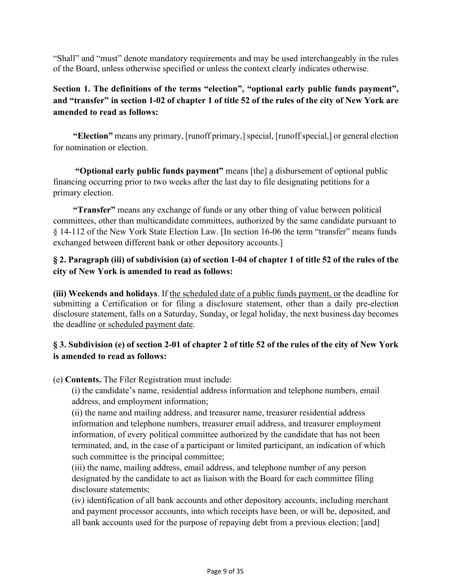"Shall" and "must" denote mandatory requirements and may be used interchangeably in the rules of the Board, unless otherwise specified or unless the context clearly indicates otherwise.

# **Section 1. The definitions of the terms "election", "optional early public funds payment", and "transfer" in section 1-02 of chapter 1 of title 52 of the rules of the city of New York are amended to read as follows:**

**"Election"** means any primary, [runoff primary,] special, [runoff special,] or general election for nomination or election.

**"Optional early public funds payment"** means [the] a disbursement of optional public financing occurring prior to two weeks after the last day to file designating petitions for a primary election.

**"Transfer"** means any exchange of funds or any other thing of value between political committees, other than multicandidate committees, authorized by the same candidate pursuant to § 14-112 of the New York State Election Law. [In section 16-06 the term "transfer" means funds exchanged between different bank or other depository accounts.]

## **§ 2. Paragraph (iii) of subdivision (a) of section 1-04 of chapter 1 of title 52 of the rules of the city of New York is amended to read as follows:**

**(iii) Weekends and holidays**. If the scheduled date of a public funds payment, or the deadline for submitting a Certification or for filing a disclosure statement, other than a daily pre-election disclosure statement, falls on a Saturday, Sunday, or legal holiday, the next business day becomes the deadline or scheduled payment date.

# **§ 3. Subdivision (e) of section 2-01 of chapter 2 of title 52 of the rules of the city of New York is amended to read as follows:**

(e) **Contents.** The Filer Registration must include:

(i) the candidate's name, residential address information and telephone numbers, email address, and employment information;

(ii) the name and mailing address, and treasurer name, treasurer residential address information and telephone numbers, treasurer email address, and treasurer employment information, of every political committee authorized by the candidate that has not been terminated, and, in the case of a participant or limited participant, an indication of which such committee is the principal committee;

(iii) the name, mailing address, email address, and telephone number of any person designated by the candidate to act as liaison with the Board for each committee filing disclosure statements;

(iv) identification of all bank accounts and other depository accounts, including merchant and payment processor accounts, into which receipts have been, or will be, deposited, and all bank accounts used for the purpose of repaying debt from a previous election; [and]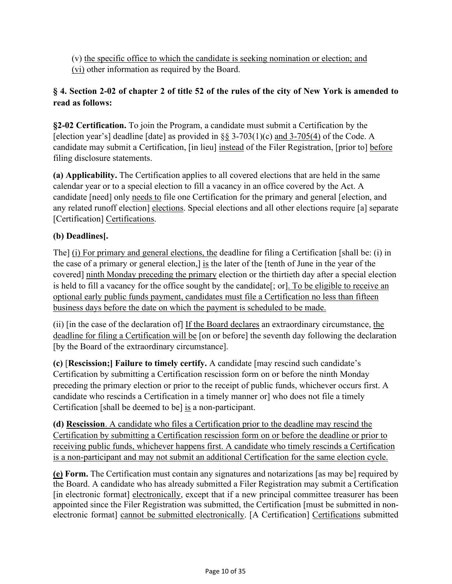(v) the specific office to which the candidate is seeking nomination or election; and (vi) other information as required by the Board.

# **§ 4. Section 2-02 of chapter 2 of title 52 of the rules of the city of New York is amended to read as follows:**

**§2-02 Certification.** To join the Program, a candidate must submit a Certification by the [election year's] deadline [date] as provided in  $\S$ § 3-703(1)(c) and 3-705(4) of the Code. A candidate may submit a Certification, [in lieu] instead of the Filer Registration, [prior to] before filing disclosure statements.

**(a) Applicability.** The Certification applies to all covered elections that are held in the same calendar year or to a special election to fill a vacancy in an office covered by the Act. A candidate [need] only needs to file one Certification for the primary and general [election, and any related runoff election] elections. Special elections and all other elections require [a] separate [Certification] Certifications.

# **(b) Deadlines[.**

The] (i) For primary and general elections, the deadline for filing a Certification [shall be: (i) in the case of a primary or general election,  $\frac{1}{18}$  the later of the [tenth of June in the year of the covered] ninth Monday preceding the primary election or the thirtieth day after a special election is held to fill a vacancy for the office sought by the candidate[; or]. To be eligible to receive an optional early public funds payment, candidates must file a Certification no less than fifteen business days before the date on which the payment is scheduled to be made.

(ii) [in the case of the declaration of] If the Board declares an extraordinary circumstance, the deadline for filing a Certification will be [on or before] the seventh day following the declaration [by the Board of the extraordinary circumstance].

**(c)** [**Rescission;] Failure to timely certify.** A candidate [may rescind such candidate's Certification by submitting a Certification rescission form on or before the ninth Monday preceding the primary election or prior to the receipt of public funds, whichever occurs first. A candidate who rescinds a Certification in a timely manner or] who does not file a timely Certification [shall be deemed to be] is a non-participant.

**(d) Rescission**. A candidate who files a Certification prior to the deadline may rescind the Certification by submitting a Certification rescission form on or before the deadline or prior to receiving public funds, whichever happens first. A candidate who timely rescinds a Certification is a non-participant and may not submit an additional Certification for the same election cycle.

**(e) Form.** The Certification must contain any signatures and notarizations [as may be] required by the Board. A candidate who has already submitted a Filer Registration may submit a Certification [in electronic format] electronically, except that if a new principal committee treasurer has been appointed since the Filer Registration was submitted, the Certification [must be submitted in nonelectronic format] cannot be submitted electronically. [A Certification] Certifications submitted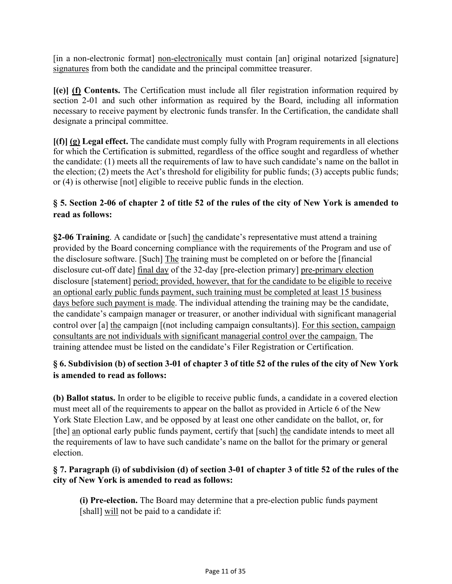[in a non-electronic format] non-electronically must contain [an] original notarized [signature] signatures from both the candidate and the principal committee treasurer.

**[(e)] (f) Contents.** The Certification must include all filer registration information required by section 2-01 and such other information as required by the Board, including all information necessary to receive payment by electronic funds transfer. In the Certification, the candidate shall designate a principal committee.

**[(f)] (g) Legal effect.** The candidate must comply fully with Program requirements in all elections for which the Certification is submitted, regardless of the office sought and regardless of whether the candidate: (1) meets all the requirements of law to have such candidate's name on the ballot in the election; (2) meets the Act's threshold for eligibility for public funds; (3) accepts public funds; or (4) is otherwise [not] eligible to receive public funds in the election.

## **§ 5. Section 2-06 of chapter 2 of title 52 of the rules of the city of New York is amended to read as follows:**

**§2-06 Training**. A candidate or [such] the candidate's representative must attend a training provided by the Board concerning compliance with the requirements of the Program and use of the disclosure software. [Such] The training must be completed on or before the [financial disclosure cut-off date] final day of the 32-day [pre-election primary] pre-primary election disclosure [statement] period; provided, however, that for the candidate to be eligible to receive an optional early public funds payment, such training must be completed at least 15 business days before such payment is made. The individual attending the training may be the candidate, the candidate's campaign manager or treasurer, or another individual with significant managerial control over [a] the campaign [(not including campaign consultants)]. For this section, campaign consultants are not individuals with significant managerial control over the campaign. The training attendee must be listed on the candidate's Filer Registration or Certification.

# **§ 6. Subdivision (b) of section 3-01 of chapter 3 of title 52 of the rules of the city of New York is amended to read as follows:**

**(b) Ballot status.** In order to be eligible to receive public funds, a candidate in a covered election must meet all of the requirements to appear on the ballot as provided in Article 6 of the New York State Election Law, and be opposed by at least one other candidate on the ballot, or, for [the] an optional early public funds payment, certify that [such] the candidate intends to meet all the requirements of law to have such candidate's name on the ballot for the primary or general election.

## **§ 7. Paragraph (i) of subdivision (d) of section 3-01 of chapter 3 of title 52 of the rules of the city of New York is amended to read as follows:**

**(i) Pre-election.** The Board may determine that a pre-election public funds payment [shall] will not be paid to a candidate if: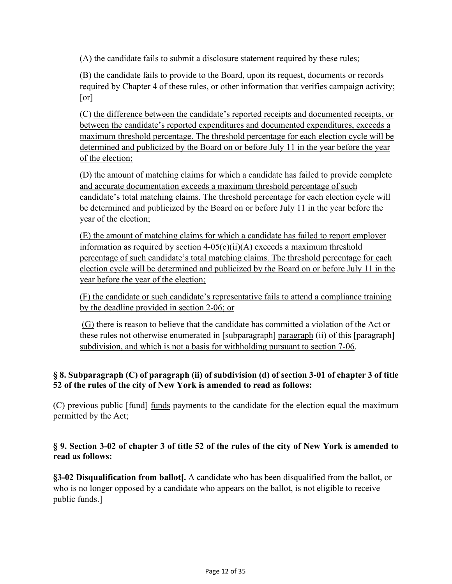(A) the candidate fails to submit a disclosure statement required by these rules;

(B) the candidate fails to provide to the Board, upon its request, documents or records required by Chapter 4 of these rules, or other information that verifies campaign activity; [or]

(C) the difference between the candidate's reported receipts and documented receipts, or between the candidate's reported expenditures and documented expenditures, exceeds a maximum threshold percentage. The threshold percentage for each election cycle will be determined and publicized by the Board on or before July 11 in the year before the year of the election:

(D) the amount of matching claims for which a candidate has failed to provide complete and accurate documentation exceeds a maximum threshold percentage of such candidate's total matching claims. The threshold percentage for each election cycle will be determined and publicized by the Board on or before July 11 in the year before the year of the election;

(E) the amount of matching claims for which a candidate has failed to report employer information as required by section  $4-05(c)(ii)(A)$  exceeds a maximum threshold percentage of such candidate's total matching claims. The threshold percentage for each election cycle will be determined and publicized by the Board on or before July 11 in the year before the year of the election;

(F) the candidate or such candidate's representative fails to attend a compliance training by the deadline provided in section 2-06; or

(G) there is reason to believe that the candidate has committed a violation of the Act or these rules not otherwise enumerated in [subparagraph] paragraph (ii) of this [paragraph] subdivision, and which is not a basis for withholding pursuant to section 7-06.

## **§ 8. Subparagraph (C) of paragraph (ii) of subdivision (d) of section 3-01 of chapter 3 of title 52 of the rules of the city of New York is amended to read as follows:**

(C) previous public [fund] funds payments to the candidate for the election equal the maximum permitted by the Act;

## **§ 9. Section 3-02 of chapter 3 of title 52 of the rules of the city of New York is amended to read as follows:**

**§3-02 Disqualification from ballot[.** A candidate who has been disqualified from the ballot, or who is no longer opposed by a candidate who appears on the ballot, is not eligible to receive public funds.]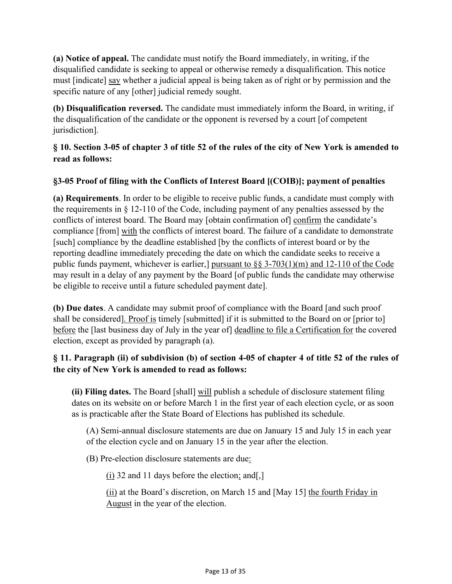**(a) Notice of appeal.** The candidate must notify the Board immediately, in writing, if the disqualified candidate is seeking to appeal or otherwise remedy a disqualification. This notice must [indicate] say whether a judicial appeal is being taken as of right or by permission and the specific nature of any [other] judicial remedy sought.

**(b) Disqualification reversed.** The candidate must immediately inform the Board, in writing, if the disqualification of the candidate or the opponent is reversed by a court [of competent jurisdiction].

# **§ 10. Section 3-05 of chapter 3 of title 52 of the rules of the city of New York is amended to read as follows:**

# **§3-05 Proof of filing with the Conflicts of Interest Board [(COIB)]; payment of penalties**

**(a) Requirements**. In order to be eligible to receive public funds, a candidate must comply with the requirements in § 12-110 of the Code, including payment of any penalties assessed by the conflicts of interest board. The Board may [obtain confirmation of] confirm the candidate's compliance [from] with the conflicts of interest board. The failure of a candidate to demonstrate [such] compliance by the deadline established [by the conflicts of interest board or by the reporting deadline immediately preceding the date on which the candidate seeks to receive a public funds payment, whichever is earlier,] pursuant to §§ 3-703(1)(m) and 12-110 of the Code may result in a delay of any payment by the Board [of public funds the candidate may otherwise be eligible to receive until a future scheduled payment date].

**(b) Due dates**. A candidate may submit proof of compliance with the Board [and such proof shall be considered]. Proof is timely [submitted] if it is submitted to the Board on or [prior to] before the [last business day of July in the year of] deadline to file a Certification for the covered election, except as provided by paragraph (a).

# **§ 11. Paragraph (ii) of subdivision (b) of section 4-05 of chapter 4 of title 52 of the rules of the city of New York is amended to read as follows:**

**(ii) Filing dates.** The Board [shall] will publish a schedule of disclosure statement filing dates on its website on or before March 1 in the first year of each election cycle, or as soon as is practicable after the State Board of Elections has published its schedule.

(A) Semi-annual disclosure statements are due on January 15 and July 15 in each year of the election cycle and on January 15 in the year after the election.

(B) Pre-election disclosure statements are due:

(i) 32 and 11 days before the election; and[,]

(ii) at the Board's discretion, on March 15 and [May 15] the fourth Friday in August in the year of the election.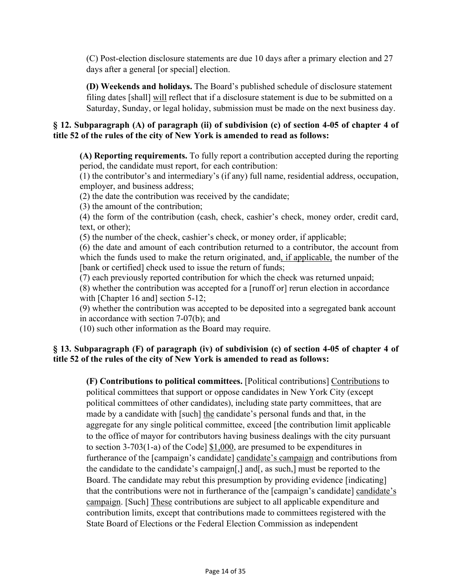(C) Post-election disclosure statements are due 10 days after a primary election and 27 days after a general [or special] election.

**(D) Weekends and holidays.** The Board's published schedule of disclosure statement filing dates [shall] will reflect that if a disclosure statement is due to be submitted on a Saturday, Sunday, or legal holiday, submission must be made on the next business day.

### **§ 12. Subparagraph (A) of paragraph (ii) of subdivision (c) of section 4-05 of chapter 4 of title 52 of the rules of the city of New York is amended to read as follows:**

**(A) Reporting requirements.** To fully report a contribution accepted during the reporting period, the candidate must report, for each contribution:

(1) the contributor's and intermediary's (if any) full name, residential address, occupation, employer, and business address;

(2) the date the contribution was received by the candidate;

(3) the amount of the contribution;

(4) the form of the contribution (cash, check, cashier's check, money order, credit card, text, or other);

(5) the number of the check, cashier's check, or money order, if applicable;

(6) the date and amount of each contribution returned to a contributor, the account from which the funds used to make the return originated, and, if applicable, the number of the [bank or certified] check used to issue the return of funds;

(7) each previously reported contribution for which the check was returned unpaid;

(8) whether the contribution was accepted for a [runoff or] rerun election in accordance with [Chapter 16 and] section 5-12;

(9) whether the contribution was accepted to be deposited into a segregated bank account in accordance with section 7-07(b); and

(10) such other information as the Board may require.

## **§ 13. Subparagraph (F) of paragraph (iv) of subdivision (c) of section 4-05 of chapter 4 of title 52 of the rules of the city of New York is amended to read as follows:**

**(F) Contributions to political committees.** [Political contributions] Contributions to political committees that support or oppose candidates in New York City (except political committees of other candidates), including state party committees, that are made by a candidate with [such] the candidate's personal funds and that, in the aggregate for any single political committee, exceed [the contribution limit applicable to the office of mayor for contributors having business dealings with the city pursuant to section 3-703(1-a) of the Code] \$1,000, are presumed to be expenditures in furtherance of the [campaign's candidate] candidate's campaign and contributions from the candidate to the candidate's campaign[,] and[, as such,] must be reported to the Board. The candidate may rebut this presumption by providing evidence [indicating] that the contributions were not in furtherance of the [campaign's candidate] candidate's campaign. [Such] These contributions are subject to all applicable expenditure and contribution limits, except that contributions made to committees registered with the State Board of Elections or the Federal Election Commission as independent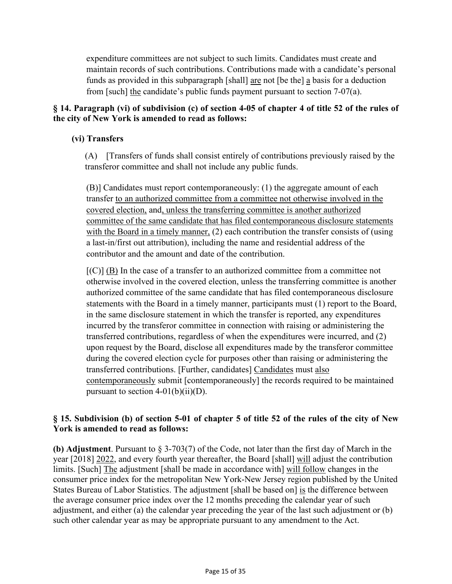expenditure committees are not subject to such limits. Candidates must create and maintain records of such contributions. Contributions made with a candidate's personal funds as provided in this subparagraph [shall] are not [be the] a basis for a deduction from [such] the candidate's public funds payment pursuant to section 7-07(a).

## **§ 14. Paragraph (vi) of subdivision (c) of section 4-05 of chapter 4 of title 52 of the rules of the city of New York is amended to read as follows:**

## **(vi) Transfers**

(A) [Transfers of funds shall consist entirely of contributions previously raised by the transferor committee and shall not include any public funds.

(B)] Candidates must report contemporaneously: (1) the aggregate amount of each transfer to an authorized committee from a committee not otherwise involved in the covered election, and, unless the transferring committee is another authorized committee of the same candidate that has filed contemporaneous disclosure statements with the Board in a timely manner, (2) each contribution the transfer consists of (using a last-in/first out attribution), including the name and residential address of the contributor and the amount and date of the contribution.

 $[{\rm (C)}]$  (B) In the case of a transfer to an authorized committee from a committee not otherwise involved in the covered election, unless the transferring committee is another authorized committee of the same candidate that has filed contemporaneous disclosure statements with the Board in a timely manner, participants must (1) report to the Board, in the same disclosure statement in which the transfer is reported, any expenditures incurred by the transferor committee in connection with raising or administering the transferred contributions, regardless of when the expenditures were incurred, and (2) upon request by the Board, disclose all expenditures made by the transferor committee during the covered election cycle for purposes other than raising or administering the transferred contributions. [Further, candidates] Candidates must also contemporaneously submit [contemporaneously] the records required to be maintained pursuant to section  $4-01(b)(ii)(D)$ .

## **§ 15. Subdivision (b) of section 5-01 of chapter 5 of title 52 of the rules of the city of New York is amended to read as follows:**

**(b) Adjustment**. Pursuant to § 3-703(7) of the Code, not later than the first day of March in the year [2018] 2022, and every fourth year thereafter, the Board [shall] will adjust the contribution limits. [Such] The adjustment [shall be made in accordance with] will follow changes in the consumer price index for the metropolitan New York-New Jersey region published by the United States Bureau of Labor Statistics. The adjustment [shall be based on] is the difference between the average consumer price index over the 12 months preceding the calendar year of such adjustment, and either (a) the calendar year preceding the year of the last such adjustment or (b) such other calendar year as may be appropriate pursuant to any amendment to the Act.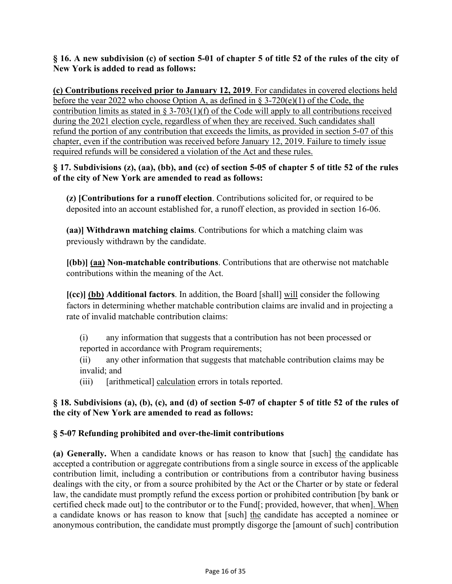### **§ 16. A new subdivision (c) of section 5-01 of chapter 5 of title 52 of the rules of the city of New York is added to read as follows:**

**(c) Contributions received prior to January 12, 2019**. For candidates in covered elections held before the year 2022 who choose Option A, as defined in § 3-720(e)(1) of the Code, the contribution limits as stated in § 3-703(1)(f) of the Code will apply to all contributions received during the 2021 election cycle, regardless of when they are received. Such candidates shall refund the portion of any contribution that exceeds the limits, as provided in section 5-07 of this chapter, even if the contribution was received before January 12, 2019. Failure to timely issue required refunds will be considered a violation of the Act and these rules.

**§ 17. Subdivisions (z), (aa), (bb), and (cc) of section 5-05 of chapter 5 of title 52 of the rules of the city of New York are amended to read as follows:**

**(z) [Contributions for a runoff election**. Contributions solicited for, or required to be deposited into an account established for, a runoff election, as provided in section 16-06.

**(aa)] Withdrawn matching claims**. Contributions for which a matching claim was previously withdrawn by the candidate.

**[(bb)] (aa) Non-matchable contributions**. Contributions that are otherwise not matchable contributions within the meaning of the Act.

**[(cc)] (bb) Additional factors**. In addition, the Board [shall] will consider the following factors in determining whether matchable contribution claims are invalid and in projecting a rate of invalid matchable contribution claims:

(i) any information that suggests that a contribution has not been processed or reported in accordance with Program requirements;

(ii) any other information that suggests that matchable contribution claims may be invalid; and

(iii) [arithmetical] calculation errors in totals reported.

## **§ 18. Subdivisions (a), (b), (c), and (d) of section 5-07 of chapter 5 of title 52 of the rules of the city of New York are amended to read as follows:**

## **§ 5-07 Refunding prohibited and over-the-limit contributions**

**(a) Generally.** When a candidate knows or has reason to know that [such] the candidate has accepted a contribution or aggregate contributions from a single source in excess of the applicable contribution limit, including a contribution or contributions from a contributor having business dealings with the city, or from a source prohibited by the Act or the Charter or by state or federal law, the candidate must promptly refund the excess portion or prohibited contribution [by bank or certified check made out] to the contributor or to the Fund[; provided, however, that when]. When a candidate knows or has reason to know that [such] the candidate has accepted a nominee or anonymous contribution, the candidate must promptly disgorge the [amount of such] contribution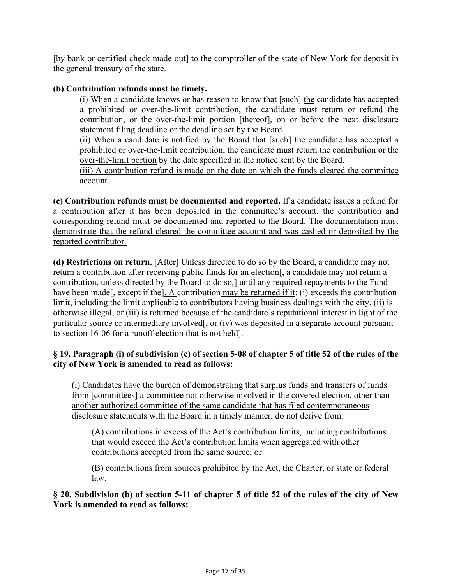[by bank or certified check made out] to the comptroller of the state of New York for deposit in the general treasury of the state.

### **(b) Contribution refunds must be timely.**

(i) When a candidate knows or has reason to know that [such] the candidate has accepted a prohibited or over-the-limit contribution, the candidate must return or refund the contribution, or the over-the-limit portion [thereof], on or before the next disclosure statement filing deadline or the deadline set by the Board.

(ii) When a candidate is notified by the Board that [such] the candidate has accepted a prohibited or over-the-limit contribution, the candidate must return the contribution or the over-the-limit portion by the date specified in the notice sent by the Board.

(iii) A contribution refund is made on the date on which the funds cleared the committee account.

**(c) Contribution refunds must be documented and reported.** If a candidate issues a refund for a contribution after it has been deposited in the committee's account, the contribution and corresponding refund must be documented and reported to the Board. The documentation must demonstrate that the refund cleared the committee account and was cashed or deposited by the reported contributor.

**(d) Restrictions on return.** [After] Unless directed to do so by the Board, a candidate may not return a contribution after receiving public funds for an election[, a candidate may not return a contribution, unless directed by the Board to do so,] until any required repayments to the Fund have been made<sup>[</sup>, except if the<sup>[</sup>]. A contribution may be returned if it: (i) exceeds the contribution limit, including the limit applicable to contributors having business dealings with the city, (ii) is otherwise illegal, or (iii) is returned because of the candidate's reputational interest in light of the particular source or intermediary involved[, or (iv) was deposited in a separate account pursuant to section 16-06 for a runoff election that is not held].

### **§ 19. Paragraph (i) of subdivision (c) of section 5-08 of chapter 5 of title 52 of the rules of the city of New York is amended to read as follows:**

(i) Candidates have the burden of demonstrating that surplus funds and transfers of funds from [committees] a committee not otherwise involved in the covered election, other than another authorized committee of the same candidate that has filed contemporaneous disclosure statements with the Board in a timely manner, do not derive from:

(A) contributions in excess of the Act's contribution limits, including contributions that would exceed the Act's contribution limits when aggregated with other contributions accepted from the same source; or

(B) contributions from sources prohibited by the Act, the Charter, or state or federal law.

### **§ 20. Subdivision (b) of section 5-11 of chapter 5 of title 52 of the rules of the city of New York is amended to read as follows:**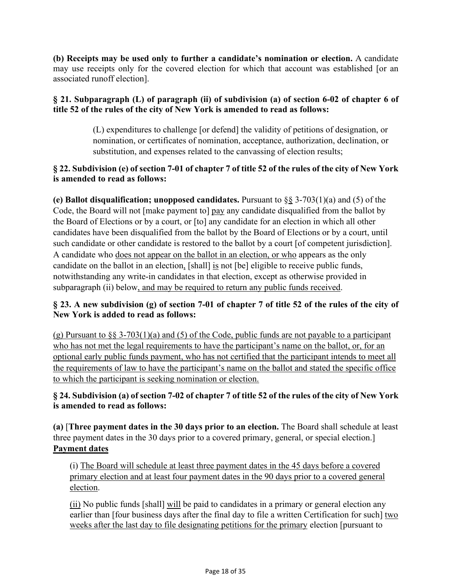**(b) Receipts may be used only to further a candidate's nomination or election.** A candidate may use receipts only for the covered election for which that account was established [or an associated runoff election].

## **§ 21. Subparagraph (L) of paragraph (ii) of subdivision (a) of section 6-02 of chapter 6 of title 52 of the rules of the city of New York is amended to read as follows:**

(L) expenditures to challenge [or defend] the validity of petitions of designation, or nomination, or certificates of nomination, acceptance, authorization, declination, or substitution, and expenses related to the canvassing of election results;

## **§ 22. Subdivision (e) of section 7-01 of chapter 7 of title 52 of the rules of the city of New York is amended to read as follows:**

**(e) Ballot disqualification; unopposed candidates.** Pursuant to §§ 3-703(1)(a) and (5) of the Code, the Board will not [make payment to] pay any candidate disqualified from the ballot by the Board of Elections or by a court, or [to] any candidate for an election in which all other candidates have been disqualified from the ballot by the Board of Elections or by a court, until such candidate or other candidate is restored to the ballot by a court [of competent jurisdiction]. A candidate who does not appear on the ballot in an election, or who appears as the only candidate on the ballot in an election, [shall] is not [be] eligible to receive public funds, notwithstanding any write-in candidates in that election, except as otherwise provided in subparagraph (ii) below, and may be required to return any public funds received.

## **§ 23. A new subdivision (g) of section 7-01 of chapter 7 of title 52 of the rules of the city of New York is added to read as follows:**

(g) Pursuant to  $\S$ § 3-703(1)(a) and (5) of the Code, public funds are not payable to a participant who has not met the legal requirements to have the participant's name on the ballot, or, for an optional early public funds payment, who has not certified that the participant intends to meet all the requirements of law to have the participant's name on the ballot and stated the specific office to which the participant is seeking nomination or election.

## **§ 24. Subdivision (a) of section 7-02 of chapter 7 of title 52 of the rules of the city of New York is amended to read as follows:**

**(a)** [**Three payment dates in the 30 days prior to an election.** The Board shall schedule at least three payment dates in the 30 days prior to a covered primary, general, or special election.] **Payment dates**

(i) The Board will schedule at least three payment dates in the 45 days before a covered primary election and at least four payment dates in the 90 days prior to a covered general election.

(ii) No public funds [shall] will be paid to candidates in a primary or general election any earlier than [four business days after the final day to file a written Certification for such] two weeks after the last day to file designating petitions for the primary election [pursuant to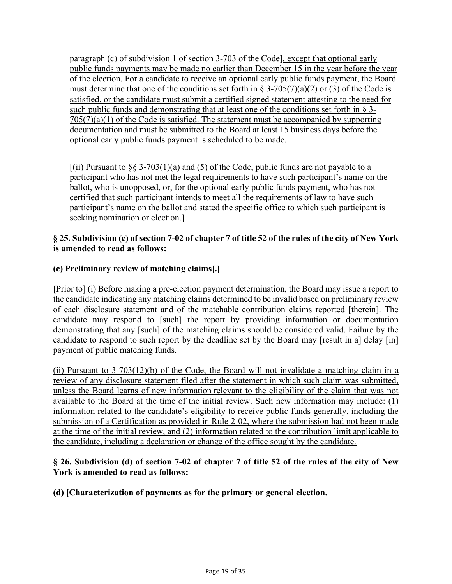paragraph (c) of subdivision 1 of section 3-703 of the Code], except that optional early public funds payments may be made no earlier than December 15 in the year before the year of the election. For a candidate to receive an optional early public funds payment, the Board must determine that one of the conditions set forth in § 3-705(7)(a)(2) or (3) of the Code is satisfied, or the candidate must submit a certified signed statement attesting to the need for such public funds and demonstrating that at least one of the conditions set forth in § 3-  $705(7)(a)(1)$  of the Code is satisfied. The statement must be accompanied by supporting documentation and must be submitted to the Board at least 15 business days before the optional early public funds payment is scheduled to be made.

 $[(ii)$  Pursuant to §§ 3-703(1)(a) and (5) of the Code, public funds are not payable to a participant who has not met the legal requirements to have such participant's name on the ballot, who is unopposed, or, for the optional early public funds payment, who has not certified that such participant intends to meet all the requirements of law to have such participant's name on the ballot and stated the specific office to which such participant is seeking nomination or election.]

## **§ 25. Subdivision (c) of section 7-02 of chapter 7 of title 52 of the rules of the city of New York is amended to read as follows:**

# **(c) Preliminary review of matching claims[.]**

**[**Prior to] (i) Before making a pre-election payment determination, the Board may issue a report to the candidate indicating any matching claims determined to be invalid based on preliminary review of each disclosure statement and of the matchable contribution claims reported [therein]. The candidate may respond to [such] the report by providing information or documentation demonstrating that any [such] of the matching claims should be considered valid. Failure by the candidate to respond to such report by the deadline set by the Board may [result in a] delay [in] payment of public matching funds.

(ii) Pursuant to 3-703(12)(b) of the Code, the Board will not invalidate a matching claim in a review of any disclosure statement filed after the statement in which such claim was submitted, unless the Board learns of new information relevant to the eligibility of the claim that was not available to the Board at the time of the initial review. Such new information may include: (1) information related to the candidate's eligibility to receive public funds generally, including the submission of a Certification as provided in Rule 2-02, where the submission had not been made at the time of the initial review, and (2) information related to the contribution limit applicable to the candidate, including a declaration or change of the office sought by the candidate.

## **§ 26. Subdivision (d) of section 7-02 of chapter 7 of title 52 of the rules of the city of New York is amended to read as follows:**

**(d) [Characterization of payments as for the primary or general election.**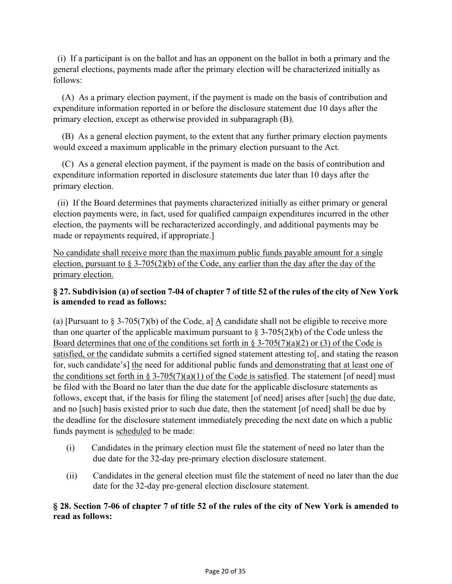(i) If a participant is on the ballot and has an opponent on the ballot in both a primary and the general elections, payments made after the primary election will be characterized initially as follows:

 (A) As a primary election payment, if the payment is made on the basis of contribution and expenditure information reported in or before the disclosure statement due 10 days after the primary election, except as otherwise provided in subparagraph (B).

 (B) As a general election payment, to the extent that any further primary election payments would exceed a maximum applicable in the primary election pursuant to the Act.

 (C) As a general election payment, if the payment is made on the basis of contribution and expenditure information reported in disclosure statements due later than 10 days after the primary election.

 (ii) If the Board determines that payments characterized initially as either primary or general election payments were, in fact, used for qualified campaign expenditures incurred in the other election, the payments will be recharacterized accordingly, and additional payments may be made or repayments required, if appropriate.]

No candidate shall receive more than the maximum public funds payable amount for a single election, pursuant to  $\S 3-705(2)(b)$  of the Code, any earlier than the day after the day of the primary election.

# **§ 27. Subdivision (a) of section 7-04 of chapter 7 of title 52 of the rules of the city of New York is amended to read as follows:**

(a) [Pursuant to  $\S 3-705(7)$ (b) of the Code, a] A candidate shall not be eligible to receive more than one quarter of the applicable maximum pursuant to  $\S 3-705(2)(b)$  of the Code unless the Board determines that one of the conditions set forth in § 3-705(7)(a)(2) or (3) of the Code is satisfied, or the candidate submits a certified signed statement attesting to [, and stating the reason for, such candidate's] the need for additional public funds and demonstrating that at least one of the conditions set forth in § 3-705(7)(a)(1) of the Code is satisfied. The statement [of need] must be filed with the Board no later than the due date for the applicable disclosure statements as follows, except that, if the basis for filing the statement [of need] arises after [such] the due date, and no [such] basis existed prior to such due date, then the statement [of need] shall be due by the deadline for the disclosure statement immediately preceding the next date on which a public funds payment is scheduled to be made:

- (i) Candidates in the primary election must file the statement of need no later than the due date for the 32-day pre-primary election disclosure statement.
- (ii) Candidates in the general election must file the statement of need no later than the due date for the 32-day pre-general election disclosure statement.

## **§ 28. Section 7-06 of chapter 7 of title 52 of the rules of the city of New York is amended to read as follows:**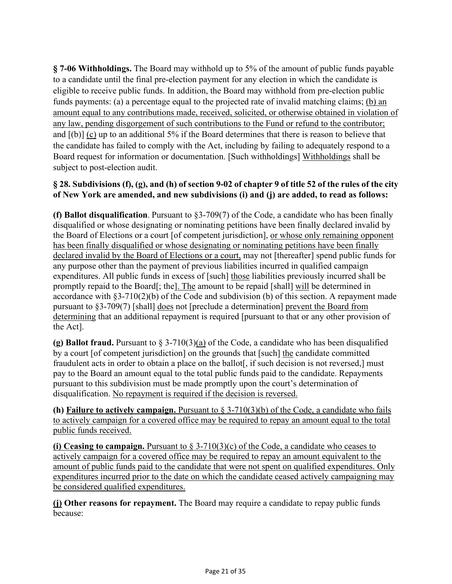**§ 7-06 Withholdings.** The Board may withhold up to 5% of the amount of public funds payable to a candidate until the final pre-election payment for any election in which the candidate is eligible to receive public funds. In addition, the Board may withhold from pre-election public funds payments: (a) a percentage equal to the projected rate of invalid matching claims; (b) an amount equal to any contributions made, received, solicited, or otherwise obtained in violation of any law, pending disgorgement of such contributions to the Fund or refund to the contributor; and [(b)] (c) up to an additional 5% if the Board determines that there is reason to believe that the candidate has failed to comply with the Act, including by failing to adequately respond to a Board request for information or documentation. [Such withholdings] Withholdings shall be subject to post-election audit.

## **§ 28. Subdivisions (f), (g), and (h) of section 9-02 of chapter 9 of title 52 of the rules of the city of New York are amended, and new subdivisions (i) and (j) are added, to read as follows:**

**(f) Ballot disqualification**. Pursuant to §3-709(7) of the Code, a candidate who has been finally disqualified or whose designating or nominating petitions have been finally declared invalid by the Board of Elections or a court [of competent jurisdiction], or whose only remaining opponent has been finally disqualified or whose designating or nominating petitions have been finally declared invalid by the Board of Elections or a court, may not [thereafter] spend public funds for any purpose other than the payment of previous liabilities incurred in qualified campaign expenditures. All public funds in excess of [such] those liabilities previously incurred shall be promptly repaid to the Board[; the]. The amount to be repaid [shall] will be determined in accordance with §3-710(2)(b) of the Code and subdivision (b) of this section. A repayment made pursuant to §3-709(7) [shall] does not [preclude a determination] prevent the Board from determining that an additional repayment is required [pursuant to that or any other provision of the Act].

**(g) Ballot fraud.** Pursuant to § 3-710(3)(a) of the Code, a candidate who has been disqualified by a court [of competent jurisdiction] on the grounds that [such] the candidate committed fraudulent acts in order to obtain a place on the ballot<sup>[</sup>, if such decision is not reversed,] must pay to the Board an amount equal to the total public funds paid to the candidate. Repayments pursuant to this subdivision must be made promptly upon the court's determination of disqualification. No repayment is required if the decision is reversed.

**(h) Failure to actively campaign.** Pursuant to § 3-710(3)(b) of the Code, a candidate who fails to actively campaign for a covered office may be required to repay an amount equal to the total public funds received.

**(i) Ceasing to campaign.** Pursuant to § 3-710(3)(c) of the Code, a candidate who ceases to actively campaign for a covered office may be required to repay an amount equivalent to the amount of public funds paid to the candidate that were not spent on qualified expenditures. Only expenditures incurred prior to the date on which the candidate ceased actively campaigning may be considered qualified expenditures.

**(j) Other reasons for repayment.** The Board may require a candidate to repay public funds because: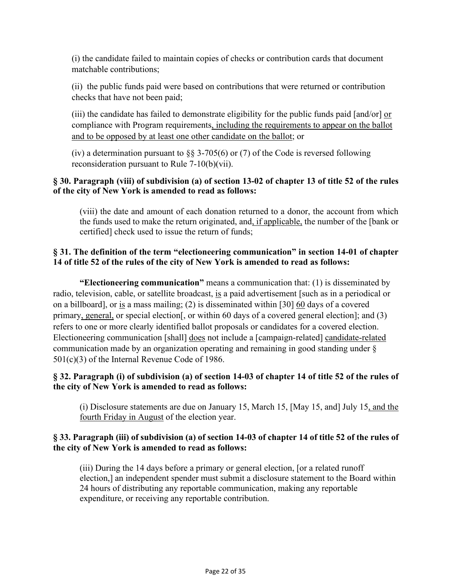(i) the candidate failed to maintain copies of checks or contribution cards that document matchable contributions;

(ii) the public funds paid were based on contributions that were returned or contribution checks that have not been paid;

(iii) the candidate has failed to demonstrate eligibility for the public funds paid  $\lceil \text{and/or} \rceil$  or compliance with Program requirements, including the requirements to appear on the ballot and to be opposed by at least one other candidate on the ballot; or

(iv) a determination pursuant to  $\S$  3-705(6) or (7) of the Code is reversed following reconsideration pursuant to Rule 7-10(b)(vii).

## **§ 30. Paragraph (viii) of subdivision (a) of section 13-02 of chapter 13 of title 52 of the rules of the city of New York is amended to read as follows:**

(viii) the date and amount of each donation returned to a donor, the account from which the funds used to make the return originated, and, if applicable, the number of the [bank or certified] check used to issue the return of funds;

## **§ 31. The definition of the term "electioneering communication" in section 14-01 of chapter 14 of title 52 of the rules of the city of New York is amended to read as follows:**

**"Electioneering communication"** means a communication that: (1) is disseminated by radio, television, cable, or satellite broadcast, is a paid advertisement [such as in a periodical or on a billboard], or is a mass mailing; (2) is disseminated within [30] 60 days of a covered primary, general, or special election<sup>[</sup>, or within 60 days of a covered general election<sup>[</sup>; and (3) refers to one or more clearly identified ballot proposals or candidates for a covered election. Electioneering communication [shall] does not include a [campaign-related] candidate-related communication made by an organization operating and remaining in good standing under § 501(c)(3) of the Internal Revenue Code of 1986.

## **§ 32. Paragraph (i) of subdivision (a) of section 14-03 of chapter 14 of title 52 of the rules of the city of New York is amended to read as follows:**

(i) Disclosure statements are due on January 15, March 15, [May 15, and] July 15, and the fourth Friday in August of the election year.

## **§ 33. Paragraph (iii) of subdivision (a) of section 14-03 of chapter 14 of title 52 of the rules of the city of New York is amended to read as follows:**

(iii) During the 14 days before a primary or general election, [or a related runoff election,] an independent spender must submit a disclosure statement to the Board within 24 hours of distributing any reportable communication, making any reportable expenditure, or receiving any reportable contribution.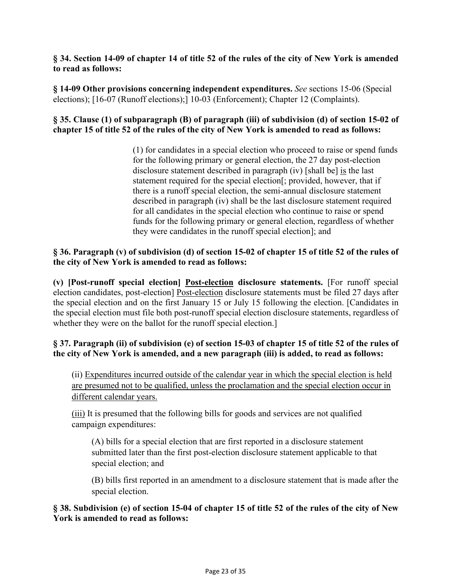### **§ 34. Section 14-09 of chapter 14 of title 52 of the rules of the city of New York is amended to read as follows:**

**§ 14-09 Other provisions concerning independent expenditures.** *See* sections 15-06 (Special elections); [16-07 (Runoff elections);] 10-03 (Enforcement); Chapter 12 (Complaints).

### **§ 35. Clause (1) of subparagraph (B) of paragraph (iii) of subdivision (d) of section 15-02 of chapter 15 of title 52 of the rules of the city of New York is amended to read as follows:**

(1) for candidates in a special election who proceed to raise or spend funds for the following primary or general election, the 27 day post-election disclosure statement described in paragraph (iv) [shall be] is the last statement required for the special election[; provided, however, that if there is a runoff special election, the semi-annual disclosure statement described in paragraph (iv) shall be the last disclosure statement required for all candidates in the special election who continue to raise or spend funds for the following primary or general election, regardless of whether they were candidates in the runoff special election]; and

## **§ 36. Paragraph (v) of subdivision (d) of section 15-02 of chapter 15 of title 52 of the rules of the city of New York is amended to read as follows:**

**(v) [Post-runoff special election] Post-election disclosure statements.** [For runoff special election candidates, post-election] Post-election disclosure statements must be filed 27 days after the special election and on the first January 15 or July 15 following the election. [Candidates in the special election must file both post-runoff special election disclosure statements, regardless of whether they were on the ballot for the runoff special election.]

## **§ 37. Paragraph (ii) of subdivision (e) of section 15-03 of chapter 15 of title 52 of the rules of the city of New York is amended, and a new paragraph (iii) is added, to read as follows:**

(ii) Expenditures incurred outside of the calendar year in which the special election is held are presumed not to be qualified, unless the proclamation and the special election occur in different calendar years.

(iii) It is presumed that the following bills for goods and services are not qualified campaign expenditures:

(A) bills for a special election that are first reported in a disclosure statement submitted later than the first post-election disclosure statement applicable to that special election; and

(B) bills first reported in an amendment to a disclosure statement that is made after the special election.

### **§ 38. Subdivision (e) of section 15-04 of chapter 15 of title 52 of the rules of the city of New York is amended to read as follows:**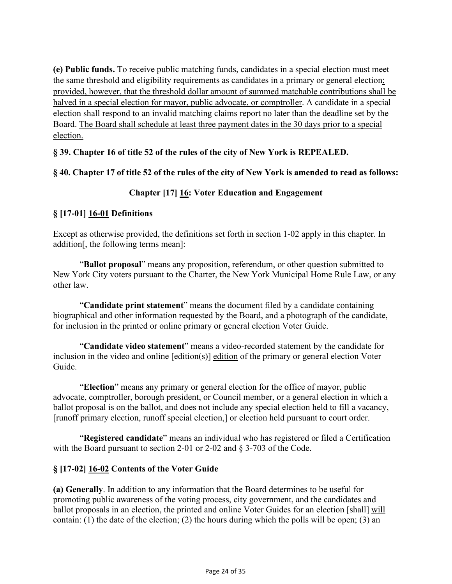**(e) Public funds.** To receive public matching funds, candidates in a special election must meet the same threshold and eligibility requirements as candidates in a primary or general election; provided, however, that the threshold dollar amount of summed matchable contributions shall be halved in a special election for mayor, public advocate, or comptroller. A candidate in a special election shall respond to an invalid matching claims report no later than the deadline set by the Board. The Board shall schedule at least three payment dates in the 30 days prior to a special election.

## **§ 39. Chapter 16 of title 52 of the rules of the city of New York is REPEALED.**

### **§ 40. Chapter 17 of title 52 of the rules of the city of New York is amended to read as follows:**

## **Chapter [17] 16: Voter Education and Engagement**

## **§ [17-01] 16-01 Definitions**

Except as otherwise provided, the definitions set forth in section 1-02 apply in this chapter. In addition[, the following terms mean]:

"**Ballot proposal**" means any proposition, referendum, or other question submitted to New York City voters pursuant to the Charter, the New York Municipal Home Rule Law, or any other law.

"**Candidate print statement**" means the document filed by a candidate containing biographical and other information requested by the Board, and a photograph of the candidate, for inclusion in the printed or online primary or general election Voter Guide.

"**Candidate video statement**" means a video-recorded statement by the candidate for inclusion in the video and online [edition(s)] edition of the primary or general election Voter Guide.

"**Election**" means any primary or general election for the office of mayor, public advocate, comptroller, borough president, or Council member, or a general election in which a ballot proposal is on the ballot, and does not include any special election held to fill a vacancy, [runoff primary election, runoff special election,] or election held pursuant to court order.

"**Registered candidate**" means an individual who has registered or filed a Certification with the Board pursuant to section 2-01 or 2-02 and § 3-703 of the Code.

## **§ [17-02] 16-02 Contents of the Voter Guide**

**(a) Generally**. In addition to any information that the Board determines to be useful for promoting public awareness of the voting process, city government, and the candidates and ballot proposals in an election, the printed and online Voter Guides for an election [shall] will contain: (1) the date of the election; (2) the hours during which the polls will be open; (3) an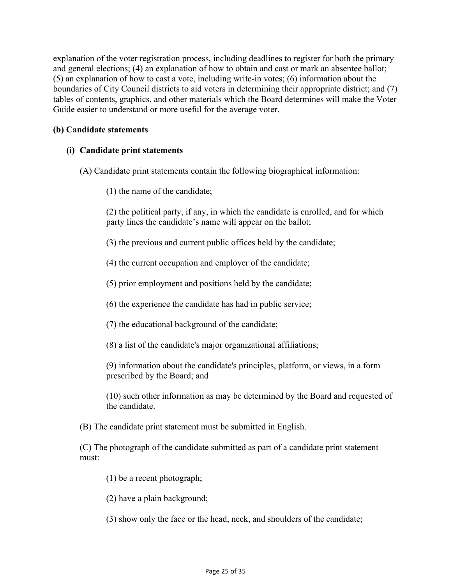explanation of the voter registration process, including deadlines to register for both the primary and general elections; (4) an explanation of how to obtain and cast or mark an absentee ballot; (5) an explanation of how to cast a vote, including write-in votes; (6) information about the boundaries of City Council districts to aid voters in determining their appropriate district; and (7) tables of contents, graphics, and other materials which the Board determines will make the Voter Guide easier to understand or more useful for the average voter.

#### **(b) Candidate statements**

### **(i) Candidate print statements**

- (A) Candidate print statements contain the following biographical information:
	- (1) the name of the candidate;

(2) the political party, if any, in which the candidate is enrolled, and for which party lines the candidate's name will appear on the ballot;

- (3) the previous and current public offices held by the candidate;
- (4) the current occupation and employer of the candidate;
- (5) prior employment and positions held by the candidate;
- (6) the experience the candidate has had in public service;
- (7) the educational background of the candidate;
- (8) a list of the candidate's major organizational affiliations;

(9) information about the candidate's principles, platform, or views, in a form prescribed by the Board; and

(10) such other information as may be determined by the Board and requested of the candidate.

(B) The candidate print statement must be submitted in English.

(C) The photograph of the candidate submitted as part of a candidate print statement must:

- (1) be a recent photograph;
- (2) have a plain background;
- (3) show only the face or the head, neck, and shoulders of the candidate;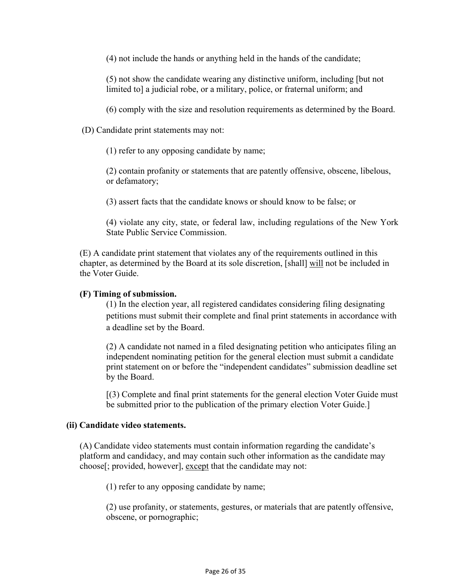(4) not include the hands or anything held in the hands of the candidate;

(5) not show the candidate wearing any distinctive uniform, including [but not limited to] a judicial robe, or a military, police, or fraternal uniform; and

(6) comply with the size and resolution requirements as determined by the Board.

(D) Candidate print statements may not:

(1) refer to any opposing candidate by name;

(2) contain profanity or statements that are patently offensive, obscene, libelous, or defamatory;

(3) assert facts that the candidate knows or should know to be false; or

(4) violate any city, state, or federal law, including regulations of the New York State Public Service Commission.

(E) A candidate print statement that violates any of the requirements outlined in this chapter, as determined by the Board at its sole discretion, [shall] will not be included in the Voter Guide.

#### **(F) Timing of submission.**

(1) In the election year, all registered candidates considering filing designating petitions must submit their complete and final print statements in accordance with a deadline set by the Board.

(2) A candidate not named in a filed designating petition who anticipates filing an independent nominating petition for the general election must submit a candidate print statement on or before the "independent candidates" submission deadline set by the Board.

[(3) Complete and final print statements for the general election Voter Guide must be submitted prior to the publication of the primary election Voter Guide.]

#### **(ii) Candidate video statements.**

(A) Candidate video statements must contain information regarding the candidate's platform and candidacy, and may contain such other information as the candidate may choose[; provided, however], except that the candidate may not:

(1) refer to any opposing candidate by name;

(2) use profanity, or statements, gestures, or materials that are patently offensive, obscene, or pornographic;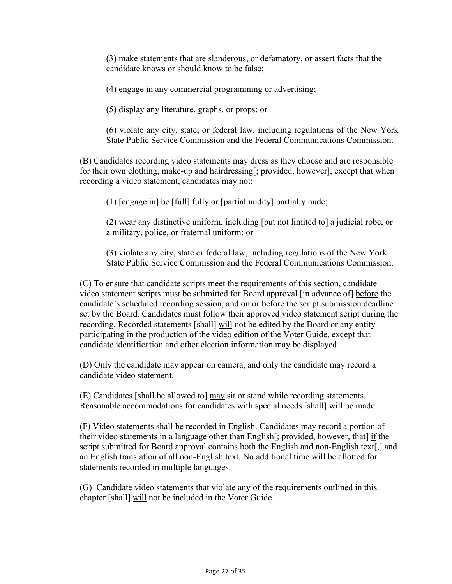(3) make statements that are slanderous, or defamatory, or assert facts that the candidate knows or should know to be false;

(4) engage in any commercial programming or advertising;

(5) display any literature, graphs, or props; or

(6) violate any city, state, or federal law, including regulations of the New York State Public Service Commission and the Federal Communications Commission.

(B) Candidates recording video statements may dress as they choose and are responsible for their own clothing, make-up and hairdressing[; provided, however], except that when recording a video statement, candidates may not:

(1)  $[$ engage in $]$  be  $[$  full $]$  fully or  $[$  partial nudity $]$  partially nude;

(2) wear any distinctive uniform, including [but not limited to] a judicial robe, or a military, police, or fraternal uniform; or

(3) violate any city, state or federal law, including regulations of the New York State Public Service Commission and the Federal Communications Commission.

(C) To ensure that candidate scripts meet the requirements of this section, candidate video statement scripts must be submitted for Board approval [in advance of] before the candidate's scheduled recording session, and on or before the script submission deadline set by the Board. Candidates must follow their approved video statement script during the recording. Recorded statements [shall] will not be edited by the Board or any entity participating in the production of the video edition of the Voter Guide, except that candidate identification and other election information may be displayed.

(D) Only the candidate may appear on camera, and only the candidate may record a candidate video statement.

(E) Candidates [shall be allowed to] may sit or stand while recording statements. Reasonable accommodations for candidates with special needs [shall] will be made.

(F) Video statements shall be recorded in English. Candidates may record a portion of their video statements in a language other than English[; provided, however, that] if the script submitted for Board approval contains both the English and non-English text[,] and an English translation of all non-English text. No additional time will be allotted for statements recorded in multiple languages.

(G) Candidate video statements that violate any of the requirements outlined in this chapter [shall] will not be included in the Voter Guide.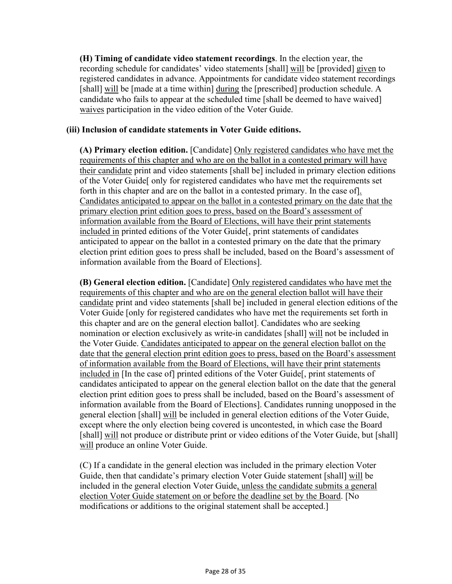**(H) Timing of candidate video statement recordings**. In the election year, the recording schedule for candidates' video statements [shall] will be [provided] given to registered candidates in advance. Appointments for candidate video statement recordings [shall] will be [made at a time within] during the [prescribed] production schedule. A candidate who fails to appear at the scheduled time [shall be deemed to have waived] waives participation in the video edition of the Voter Guide.

#### **(iii) Inclusion of candidate statements in Voter Guide editions.**

**(A) Primary election edition.** [Candidate] Only registered candidates who have met the requirements of this chapter and who are on the ballot in a contested primary will have their candidate print and video statements [shall be] included in primary election editions of the Voter Guide[ only for registered candidates who have met the requirements set forth in this chapter and are on the ballot in a contested primary. In the case of]. Candidates anticipated to appear on the ballot in a contested primary on the date that the primary election print edition goes to press, based on the Board's assessment of information available from the Board of Elections, will have their print statements included in printed editions of the Voter Guide[, print statements of candidates anticipated to appear on the ballot in a contested primary on the date that the primary election print edition goes to press shall be included, based on the Board's assessment of information available from the Board of Elections].

**(B) General election edition.** [Candidate] Only registered candidates who have met the requirements of this chapter and who are on the general election ballot will have their candidate print and video statements [shall be] included in general election editions of the Voter Guide [only for registered candidates who have met the requirements set forth in this chapter and are on the general election ballot]. Candidates who are seeking nomination or election exclusively as write-in candidates [shall] will not be included in the Voter Guide. Candidates anticipated to appear on the general election ballot on the date that the general election print edition goes to press, based on the Board's assessment of information available from the Board of Elections, will have their print statements included in [In the case of] printed editions of the Voter Guide[, print statements of candidates anticipated to appear on the general election ballot on the date that the general election print edition goes to press shall be included, based on the Board's assessment of information available from the Board of Elections]. Candidates running unopposed in the general election [shall] will be included in general election editions of the Voter Guide, except where the only election being covered is uncontested, in which case the Board [shall] will not produce or distribute print or video editions of the Voter Guide, but [shall] will produce an online Voter Guide.

(C) If a candidate in the general election was included in the primary election Voter Guide, then that candidate's primary election Voter Guide statement [shall] will be included in the general election Voter Guide, unless the candidate submits a general election Voter Guide statement on or before the deadline set by the Board. [No modifications or additions to the original statement shall be accepted.]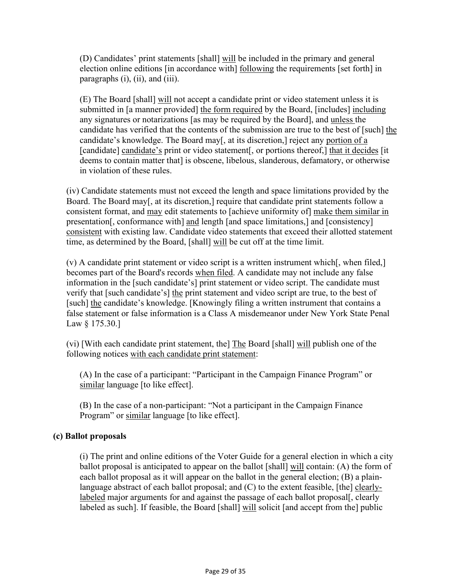(D) Candidates' print statements [shall] will be included in the primary and general election online editions [in accordance with] following the requirements [set forth] in paragraphs (i), (ii), and (iii).

(E) The Board [shall] will not accept a candidate print or video statement unless it is submitted in [a manner provided] the form required by the Board, [includes] including any signatures or notarizations [as may be required by the Board], and unless the candidate has verified that the contents of the submission are true to the best of [such] the candidate's knowledge. The Board may[, at its discretion,] reject any portion of a [candidate] candidate's print or video statement[, or portions thereof,] that it decides [it deems to contain matter that] is obscene, libelous, slanderous, defamatory, or otherwise in violation of these rules.

(iv) Candidate statements must not exceed the length and space limitations provided by the Board. The Board may[, at its discretion,] require that candidate print statements follow a consistent format, and may edit statements to [achieve uniformity of] make them similar in presentation[, conformance with] and length [and space limitations,] and [consistency] consistent with existing law. Candidate video statements that exceed their allotted statement time, as determined by the Board, [shall] will be cut off at the time limit.

(v) A candidate print statement or video script is a written instrument which[, when filed,] becomes part of the Board's records when filed. A candidate may not include any false information in the [such candidate's] print statement or video script. The candidate must verify that [such candidate's] the print statement and video script are true, to the best of [such] the candidate's knowledge. [Knowingly filing a written instrument that contains a false statement or false information is a Class A misdemeanor under New York State Penal Law § 175.30.]

(vi) [With each candidate print statement, the] The Board [shall] will publish one of the following notices with each candidate print statement:

(A) In the case of a participant: "Participant in the Campaign Finance Program" or similar language [to like effect].

(B) In the case of a non-participant: "Not a participant in the Campaign Finance Program" or similar language [to like effect].

## **(c) Ballot proposals**

(i) The print and online editions of the Voter Guide for a general election in which a city ballot proposal is anticipated to appear on the ballot [shall] will contain: (A) the form of each ballot proposal as it will appear on the ballot in the general election; (B) a plainlanguage abstract of each ballot proposal; and (C) to the extent feasible, [the] clearlylabeled major arguments for and against the passage of each ballot proposal[, clearly labeled as such]. If feasible, the Board [shall] will solicit [and accept from the] public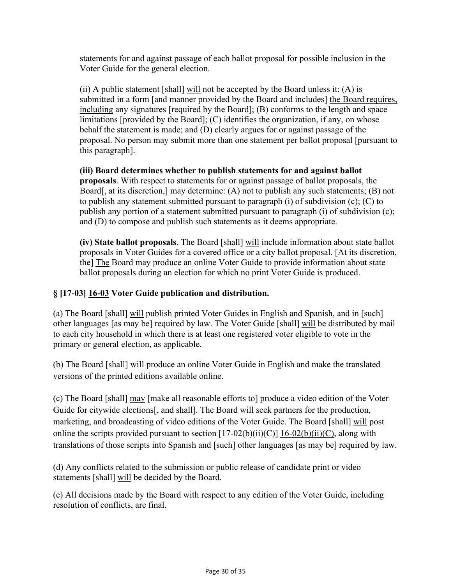statements for and against passage of each ballot proposal for possible inclusion in the Voter Guide for the general election.

(ii) A public statement [shall] will not be accepted by the Board unless it:  $(A)$  is submitted in a form [and manner provided by the Board and includes] the Board requires, including any signatures [required by the Board]; (B) conforms to the length and space limitations [provided by the Board]; (C) identifies the organization, if any, on whose behalf the statement is made; and (D) clearly argues for or against passage of the proposal. No person may submit more than one statement per ballot proposal [pursuant to this paragraph].

**(iii) Board determines whether to publish statements for and against ballot proposals**. With respect to statements for or against passage of ballot proposals, the Board, at its discretion, may determine: (A) not to publish any such statements; (B) not to publish any statement submitted pursuant to paragraph (i) of subdivision (c); (C) to publish any portion of a statement submitted pursuant to paragraph (i) of subdivision (c); and (D) to compose and publish such statements as it deems appropriate.

**(iv) State ballot proposals**. The Board [shall] will include information about state ballot proposals in Voter Guides for a covered office or a city ballot proposal. [At its discretion, the] The Board may produce an online Voter Guide to provide information about state ballot proposals during an election for which no print Voter Guide is produced.

## **§ [17-03] 16-03 Voter Guide publication and distribution.**

(a) The Board [shall] will publish printed Voter Guides in English and Spanish, and in [such] other languages [as may be] required by law. The Voter Guide [shall] will be distributed by mail to each city household in which there is at least one registered voter eligible to vote in the primary or general election, as applicable.

(b) The Board [shall] will produce an online Voter Guide in English and make the translated versions of the printed editions available online.

(c) The Board [shall] may [make all reasonable efforts to] produce a video edition of the Voter Guide for citywide elections[, and shall]. The Board will seek partners for the production, marketing, and broadcasting of video editions of the Voter Guide. The Board [shall] will post online the scripts provided pursuant to section  $[17-02(b)(ii)(C)]$   $[16-02(b)(ii)(C)]$ , along with translations of those scripts into Spanish and [such] other languages [as may be] required by law.

(d) Any conflicts related to the submission or public release of candidate print or video statements [shall] will be decided by the Board.

(e) All decisions made by the Board with respect to any edition of the Voter Guide, including resolution of conflicts, are final.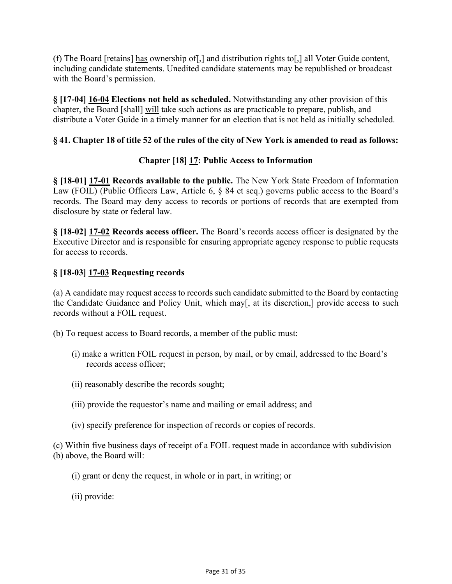(f) The Board [retains] has ownership of[,] and distribution rights to[,] all Voter Guide content, including candidate statements. Unedited candidate statements may be republished or broadcast with the Board's permission.

**§ [17-04] 16-04 Elections not held as scheduled.** Notwithstanding any other provision of this chapter, the Board [shall] will take such actions as are practicable to prepare, publish, and distribute a Voter Guide in a timely manner for an election that is not held as initially scheduled.

## **§ 41. Chapter 18 of title 52 of the rules of the city of New York is amended to read as follows:**

## **Chapter [18] 17: Public Access to Information**

**§ [18-01] 17-01 Records available to the public.** The New York State Freedom of Information Law (FOIL) (Public Officers Law, Article 6, § 84 et seq.) governs public access to the Board's records. The Board may deny access to records or portions of records that are exempted from disclosure by state or federal law.

**§ [18-02] 17-02 Records access officer.** The Board's records access officer is designated by the Executive Director and is responsible for ensuring appropriate agency response to public requests for access to records.

## **§ [18-03] 17-03 Requesting records**

(a) A candidate may request access to records such candidate submitted to the Board by contacting the Candidate Guidance and Policy Unit, which may[, at its discretion,] provide access to such records without a FOIL request.

(b) To request access to Board records, a member of the public must:

- (i) make a written FOIL request in person, by mail, or by email, addressed to the Board's records access officer;
- (ii) reasonably describe the records sought;
- (iii) provide the requestor's name and mailing or email address; and
- (iv) specify preference for inspection of records or copies of records.

(c) Within five business days of receipt of a FOIL request made in accordance with subdivision (b) above, the Board will:

- (i) grant or deny the request, in whole or in part, in writing; or
- (ii) provide: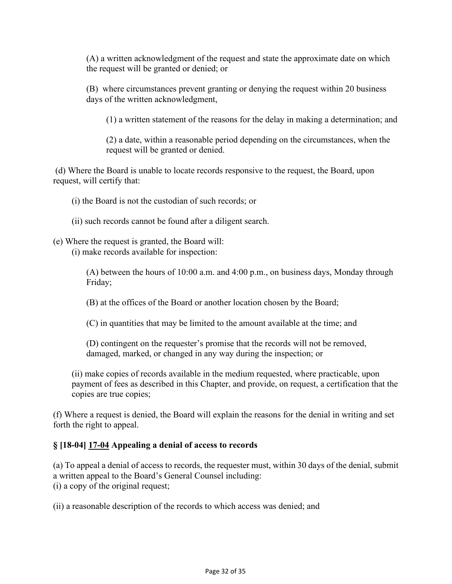(A) a written acknowledgment of the request and state the approximate date on which the request will be granted or denied; or

(B) where circumstances prevent granting or denying the request within 20 business days of the written acknowledgment,

(1) a written statement of the reasons for the delay in making a determination; and

(2) a date, within a reasonable period depending on the circumstances, when the request will be granted or denied.

(d) Where the Board is unable to locate records responsive to the request, the Board, upon request, will certify that:

(i) the Board is not the custodian of such records; or

(ii) such records cannot be found after a diligent search.

(e) Where the request is granted, the Board will:

(i) make records available for inspection:

(A) between the hours of 10:00 a.m. and 4:00 p.m., on business days, Monday through Friday;

(B) at the offices of the Board or another location chosen by the Board;

(C) in quantities that may be limited to the amount available at the time; and

(D) contingent on the requester's promise that the records will not be removed, damaged, marked, or changed in any way during the inspection; or

(ii) make copies of records available in the medium requested, where practicable, upon payment of fees as described in this Chapter, and provide, on request, a certification that the copies are true copies;

(f) Where a request is denied, the Board will explain the reasons for the denial in writing and set forth the right to appeal.

## **§ [18-04] 17-04 Appealing a denial of access to records**

(a) To appeal a denial of access to records, the requester must, within 30 days of the denial, submit a written appeal to the Board's General Counsel including: (i) a copy of the original request;

(ii) a reasonable description of the records to which access was denied; and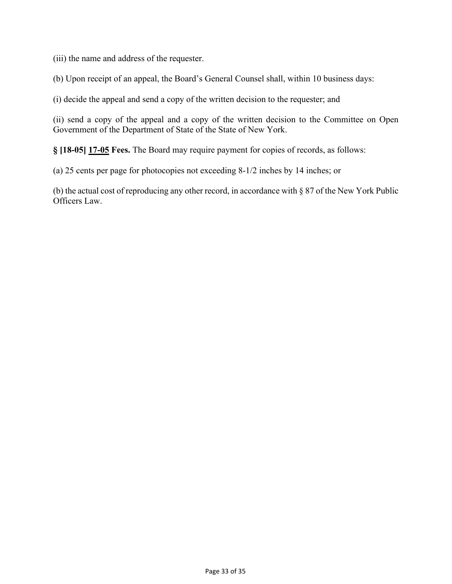(iii) the name and address of the requester.

(b) Upon receipt of an appeal, the Board's General Counsel shall, within 10 business days:

(i) decide the appeal and send a copy of the written decision to the requester; and

(ii) send a copy of the appeal and a copy of the written decision to the Committee on Open Government of the Department of State of the State of New York.

**§ [18-05] 17-05 Fees.** The Board may require payment for copies of records, as follows:

(a) 25 cents per page for photocopies not exceeding 8-1/2 inches by 14 inches; or

(b) the actual cost of reproducing any other record, in accordance with § 87 of the New York Public Officers Law.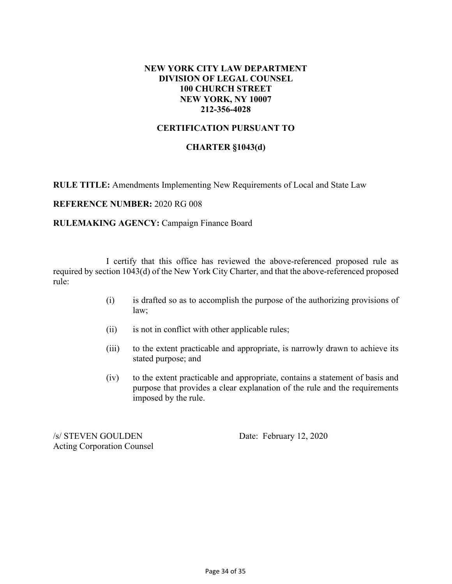### **NEW YORK CITY LAW DEPARTMENT DIVISION OF LEGAL COUNSEL 100 CHURCH STREET NEW YORK, NY 10007 212-356-4028**

## **CERTIFICATION PURSUANT TO**

### **CHARTER §1043(d)**

**RULE TITLE:** Amendments Implementing New Requirements of Local and State Law

#### **REFERENCE NUMBER:** 2020 RG 008

#### **RULEMAKING AGENCY:** Campaign Finance Board

I certify that this office has reviewed the above-referenced proposed rule as required by section 1043(d) of the New York City Charter, and that the above-referenced proposed rule:

- (i) is drafted so as to accomplish the purpose of the authorizing provisions of law;
- (ii) is not in conflict with other applicable rules;
- (iii) to the extent practicable and appropriate, is narrowly drawn to achieve its stated purpose; and
- (iv) to the extent practicable and appropriate, contains a statement of basis and purpose that provides a clear explanation of the rule and the requirements imposed by the rule.

/s/ STEVEN GOULDEN Date: February 12, 2020 Acting Corporation Counsel